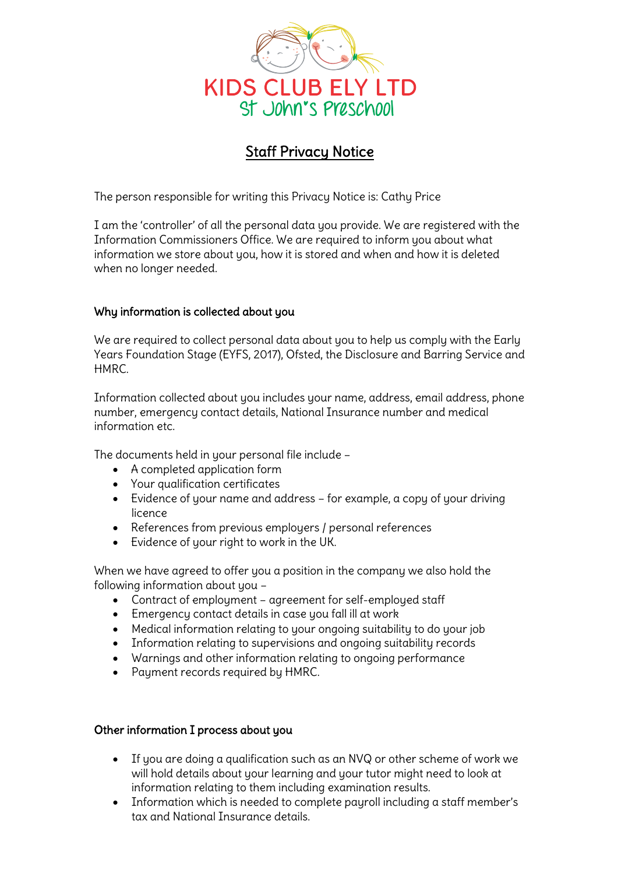

# Staff Privacy Notice

The person responsible for writing this Privacy Notice is: Cathy Price

I am the 'controller' of all the personal data you provide. We are registered with the Information Commissioners Office. We are required to inform you about what information we store about you, how it is stored and when and how it is deleted when no longer needed.

# Why information is collected about you

We are required to collect personal data about you to help us comply with the Early Years Foundation Stage (EYFS, 2017), Ofsted, the Disclosure and Barring Service and HMRC.

Information collected about you includes your name, address, email address, phone number, emergency contact details, National Insurance number and medical information etc.

The documents held in your personal file include –

- A completed application form
- Your qualification certificates
- Evidence of your name and address for example, a copy of your driving licence
- References from previous employers / personal references
- Evidence of your right to work in the UK.

When we have agreed to offer you a position in the company we also hold the following information about you –

- Contract of employment agreement for self-employed staff
- Emergency contact details in case you fall ill at work
- Medical information relating to your ongoing suitability to do your job
- Information relating to supervisions and ongoing suitability records
- Warnings and other information relating to ongoing performance
- Payment records required by HMRC.

#### Other information I process about you

- If you are doing a qualification such as an NVQ or other scheme of work we will hold details about your learning and your tutor might need to look at information relating to them including examination results.
- Information which is needed to complete payroll including a staff member's tax and National Insurance details.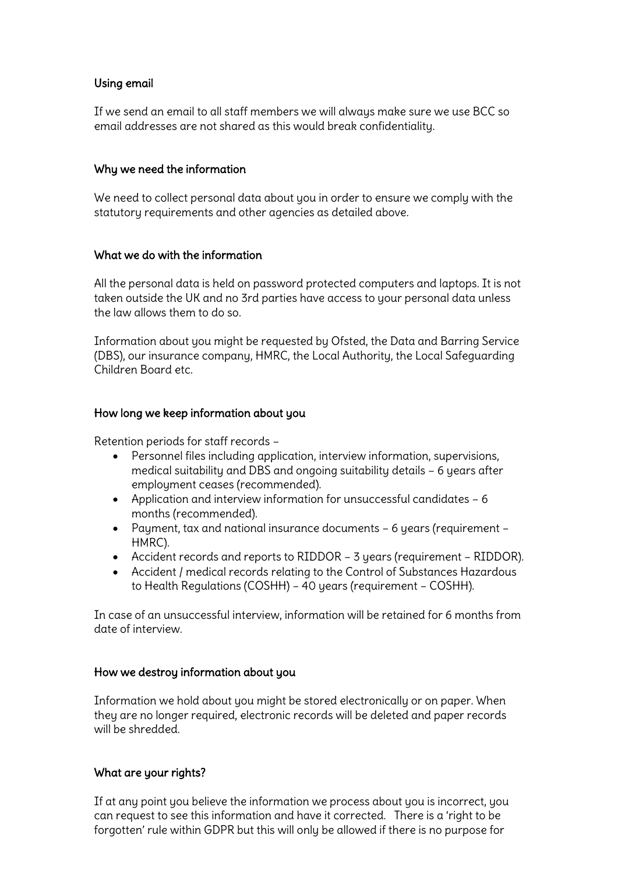# Using email

If we send an email to all staff members we will always make sure we use BCC so email addresses are not shared as this would break confidentiality.

## Why we need the information

We need to collect personal data about you in order to ensure we comply with the statutory requirements and other agencies as detailed above.

### What we do with the information

All the personal data is held on password protected computers and laptops. It is not taken outside the UK and no 3rd parties have access to your personal data unless the law allows them to do so.

Information about you might be requested by Ofsted, the Data and Barring Service (DBS), our insurance company, HMRC, the Local Authority, the Local Safeguarding Children Board etc.

### How long we keep information about you

Retention periods for staff records –

- Personnel files including application, interview information, supervisions, medical suitability and DBS and ongoing suitability details – 6 years after employment ceases (recommended).
- Application and interview information for unsuccessful candidates 6 months (recommended).
- Payment, tax and national insurance documents 6 years (requirement HMRC).
- Accident records and reports to RIDDOR 3 years (requirement RIDDOR).
- Accident / medical records relating to the Control of Substances Hazardous to Health Regulations (COSHH) – 40 years (requirement – COSHH).

In case of an unsuccessful interview, information will be retained for 6 months from date of interview.

# How we destroy information about you

Information we hold about you might be stored electronically or on paper. When they are no longer required, electronic records will be deleted and paper records will be shredded.

# What are your rights?

If at any point you believe the information we process about you is incorrect, you can request to see this information and have it corrected. There is a 'right to be forgotten' rule within GDPR but this will only be allowed if there is no purpose for